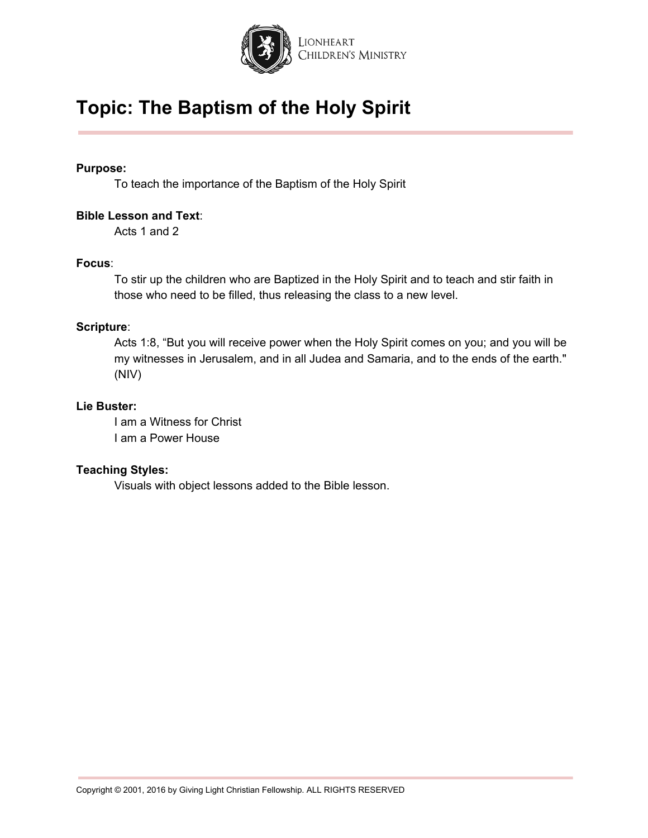

#### **Purpose:**

To teach the importance of the Baptism of the Holy Spirit

#### **Bible Lesson and Text**:

Acts 1 and 2

#### **Focus**:

To stir up the children who are Baptized in the Holy Spirit and to teach and stir faith in those who need to be filled, thus releasing the class to a new level.

#### **Scripture**:

Acts 1:8, "But you will receive power when the Holy Spirit comes on you; and you will be my witnesses in Jerusalem, and in all Judea and Samaria, and to the ends of the earth." (NIV)

#### **Lie Buster:**

I am a Witness for Christ I am a Power House

#### **Teaching Styles:**

Visuals with object lessons added to the Bible lesson.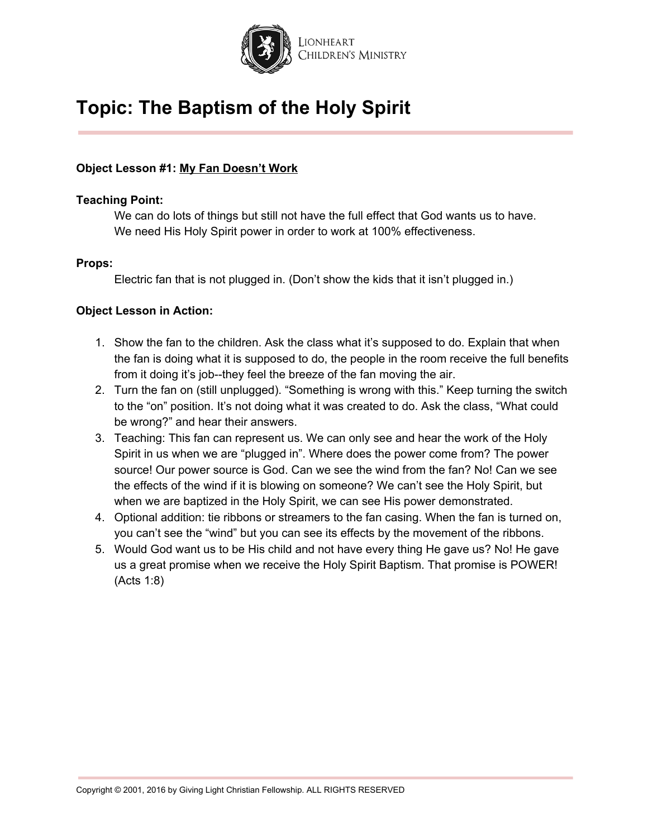

#### **Object Lesson #1: My Fan Doesn't Work**

#### **Teaching Point:**

We can do lots of things but still not have the full effect that God wants us to have. We need His Holy Spirit power in order to work at 100% effectiveness.

#### **Props:**

Electric fan that is not plugged in. (Don't show the kids that it isn't plugged in.)

- 1. Show the fan to the children. Ask the class what it's supposed to do. Explain that when the fan is doing what it is supposed to do, the people in the room receive the full benefits from it doing it's job--they feel the breeze of the fan moving the air.
- 2. Turn the fan on (still unplugged). "Something is wrong with this." Keep turning the switch to the "on" position. It's not doing what it was created to do. Ask the class, "What could be wrong?" and hear their answers.
- 3. Teaching: This fan can represent us. We can only see and hear the work of the Holy Spirit in us when we are "plugged in". Where does the power come from? The power source! Our power source is God. Can we see the wind from the fan? No! Can we see the effects of the wind if it is blowing on someone? We can't see the Holy Spirit, but when we are baptized in the Holy Spirit, we can see His power demonstrated.
- 4. Optional addition: tie ribbons or streamers to the fan casing. When the fan is turned on, you can't see the "wind" but you can see its effects by the movement of the ribbons.
- 5. Would God want us to be His child and not have every thing He gave us? No! He gave us a great promise when we receive the Holy Spirit Baptism. That promise is POWER! (Acts 1:8)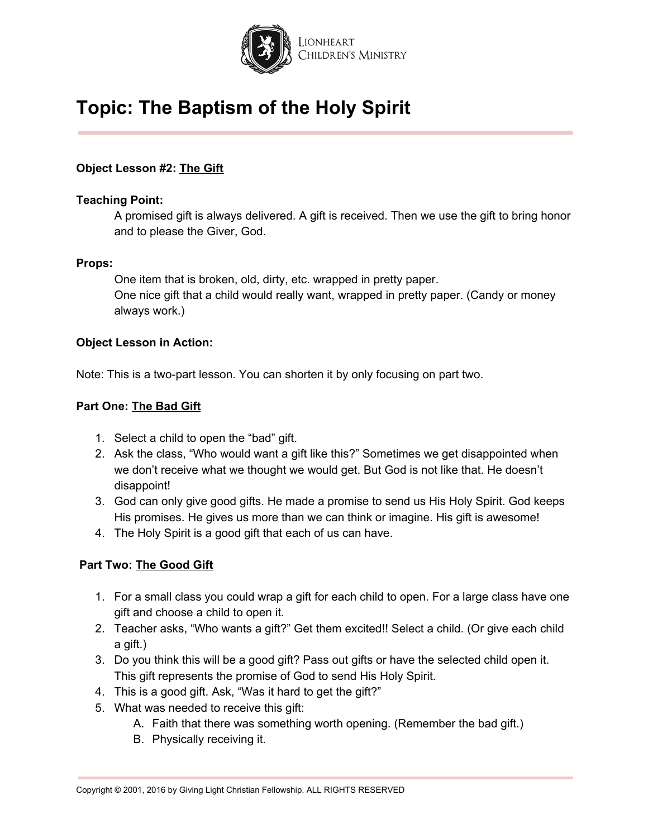

#### **Object Lesson #2: The Gift**

#### **Teaching Point:**

A promised gift is always delivered. A gift is received. Then we use the gift to bring honor and to please the Giver, God.

#### **Props:**

One item that is broken, old, dirty, etc. wrapped in pretty paper. One nice gift that a child would really want, wrapped in pretty paper. (Candy or money always work.)

#### **Object Lesson in Action:**

Note: This is a two-part lesson. You can shorten it by only focusing on part two.

#### **Part One: The Bad Gift**

- 1. Select a child to open the "bad" gift.
- 2. Ask the class, "Who would want a gift like this?" Sometimes we get disappointed when we don't receive what we thought we would get. But God is not like that. He doesn't disappoint!
- 3. God can only give good gifts. He made a promise to send us His Holy Spirit. God keeps His promises. He gives us more than we can think or imagine. His gift is awesome!
- 4. The Holy Spirit is a good gift that each of us can have.

#### **Part Two: The Good Gift**

- 1. For a small class you could wrap a gift for each child to open. For a large class have one gift and choose a child to open it.
- 2. Teacher asks, "Who wants a gift?" Get them excited!! Select a child. (Or give each child a gift.)
- 3. Do you think this will be a good gift? Pass out gifts or have the selected child open it. This gift represents the promise of God to send His Holy Spirit.
- 4. This is a good gift. Ask, "Was it hard to get the gift?"
- 5. What was needed to receive this gift:
	- A. Faith that there was something worth opening. (Remember the bad gift.)
	- B. Physically receiving it.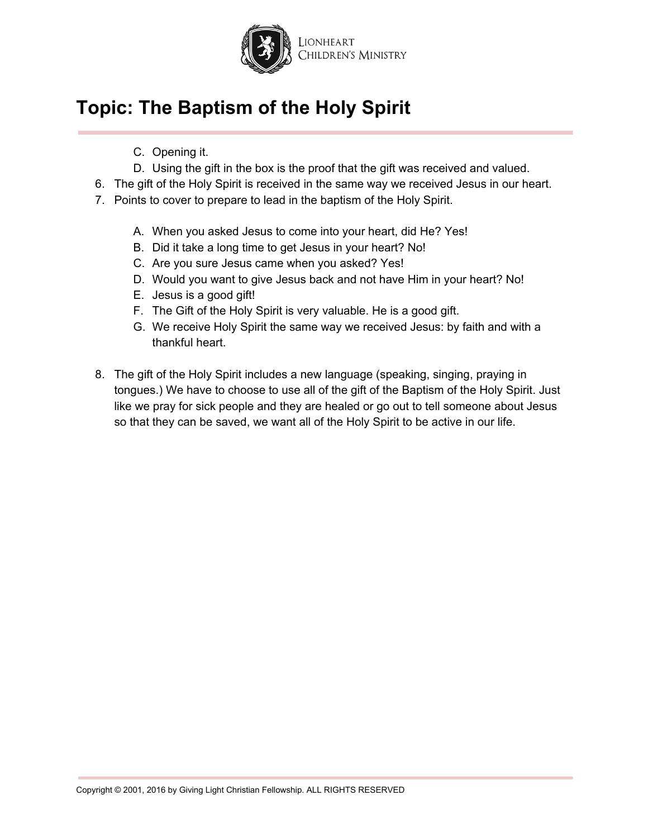

- C. Opening it.
- D. Using the gift in the box is the proof that the gift was received and valued.
- 6. The gift of the Holy Spirit is received in the same way we received Jesus in our heart.
- 7. Points to cover to prepare to lead in the baptism of the Holy Spirit.
	- A. When you asked Jesus to come into your heart, did He? Yes!
	- B. Did it take a long time to get Jesus in your heart? No!
	- C. Are you sure Jesus came when you asked? Yes!
	- D. Would you want to give Jesus back and not have Him in your heart? No!
	- E. Jesus is a good gift!
	- F. The Gift of the Holy Spirit is very valuable. He is a good gift.
	- G. We receive Holy Spirit the same way we received Jesus: by faith and with a thankful heart.
- 8. The gift of the Holy Spirit includes a new language (speaking, singing, praying in tongues.) We have to choose to use all of the gift of the Baptism of the Holy Spirit. Just like we pray for sick people and they are healed or go out to tell someone about Jesus so that they can be saved, we want all of the Holy Spirit to be active in our life.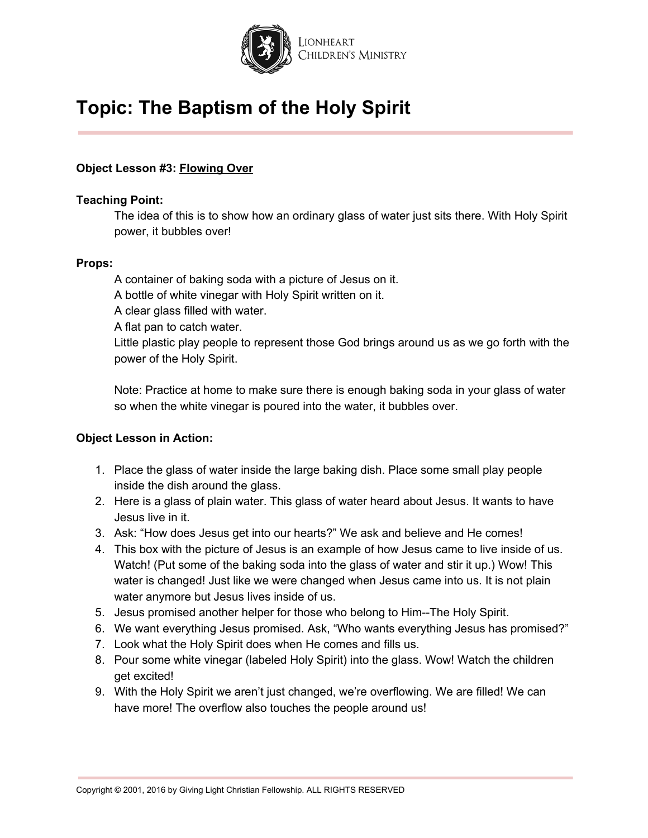

#### **Object Lesson #3: Flowing Over**

#### **Teaching Point:**

The idea of this is to show how an ordinary glass of water just sits there. With Holy Spirit power, it bubbles over!

#### **Props:**

A container of baking soda with a picture of Jesus on it. A bottle of white vinegar with Holy Spirit written on it. A clear glass filled with water. A flat pan to catch water. Little plastic play people to represent those God brings around us as we go forth with the power of the Holy Spirit.

Note: Practice at home to make sure there is enough baking soda in your glass of water so when the white vinegar is poured into the water, it bubbles over.

- 1. Place the glass of water inside the large baking dish. Place some small play people inside the dish around the glass.
- 2. Here is a glass of plain water. This glass of water heard about Jesus. It wants to have Jesus live in it.
- 3. Ask: "How does Jesus get into our hearts?" We ask and believe and He comes!
- 4. This box with the picture of Jesus is an example of how Jesus came to live inside of us. Watch! (Put some of the baking soda into the glass of water and stir it up.) Wow! This water is changed! Just like we were changed when Jesus came into us. It is not plain water anymore but Jesus lives inside of us.
- 5. Jesus promised another helper for those who belong to Him--The Holy Spirit.
- 6. We want everything Jesus promised. Ask, "Who wants everything Jesus has promised?"
- 7. Look what the Holy Spirit does when He comes and fills us.
- 8. Pour some white vinegar (labeled Holy Spirit) into the glass. Wow! Watch the children get excited!
- 9. With the Holy Spirit we aren't just changed, we're overflowing. We are filled! We can have more! The overflow also touches the people around us!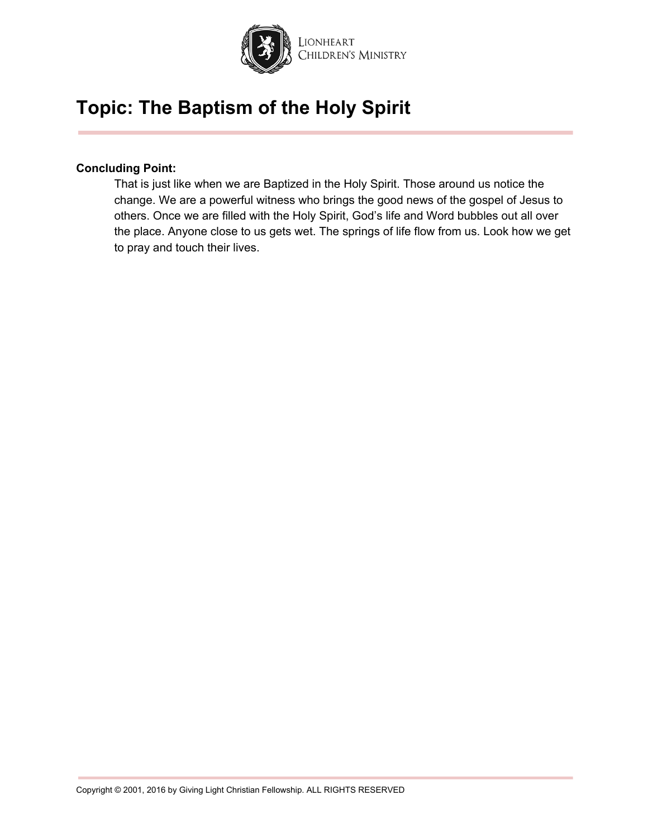

#### **Concluding Point:**

That is just like when we are Baptized in the Holy Spirit. Those around us notice the change. We are a powerful witness who brings the good news of the gospel of Jesus to others. Once we are filled with the Holy Spirit, God's life and Word bubbles out all over the place. Anyone close to us gets wet. The springs of life flow from us. Look how we get to pray and touch their lives.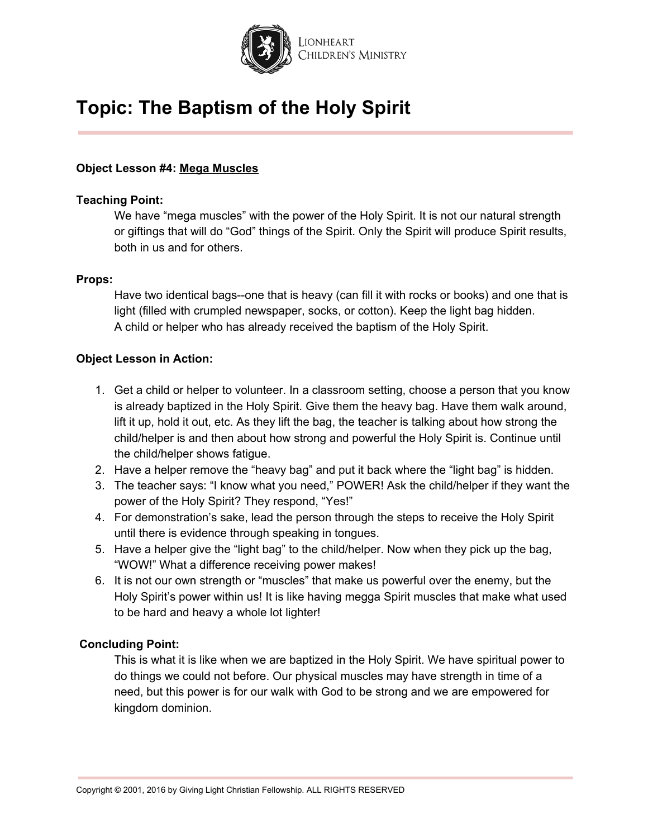

#### **Object Lesson #4: Mega Muscles**

#### **Teaching Point:**

We have "mega muscles" with the power of the Holy Spirit. It is not our natural strength or giftings that will do "God" things of the Spirit. Only the Spirit will produce Spirit results, both in us and for others.

#### **Props:**

Have two identical bags--one that is heavy (can fill it with rocks or books) and one that is light (filled with crumpled newspaper, socks, or cotton). Keep the light bag hidden. A child or helper who has already received the baptism of the Holy Spirit.

#### **Object Lesson in Action:**

- 1. Get a child or helper to volunteer. In a classroom setting, choose a person that you know is already baptized in the Holy Spirit. Give them the heavy bag. Have them walk around, lift it up, hold it out, etc. As they lift the bag, the teacher is talking about how strong the child/helper is and then about how strong and powerful the Holy Spirit is. Continue until the child/helper shows fatigue.
- 2. Have a helper remove the "heavy bag" and put it back where the "light bag" is hidden.
- 3. The teacher says: "I know what you need," POWER! Ask the child/helper if they want the power of the Holy Spirit? They respond, "Yes!"
- 4. For demonstration's sake, lead the person through the steps to receive the Holy Spirit until there is evidence through speaking in tongues.
- 5. Have a helper give the "light bag" to the child/helper. Now when they pick up the bag, "WOW!" What a difference receiving power makes!
- 6. It is not our own strength or "muscles" that make us powerful over the enemy, but the Holy Spirit's power within us! It is like having megga Spirit muscles that make what used to be hard and heavy a whole lot lighter!

#### **Concluding Point:**

This is what it is like when we are baptized in the Holy Spirit. We have spiritual power to do things we could not before. Our physical muscles may have strength in time of a need, but this power is for our walk with God to be strong and we are empowered for kingdom dominion.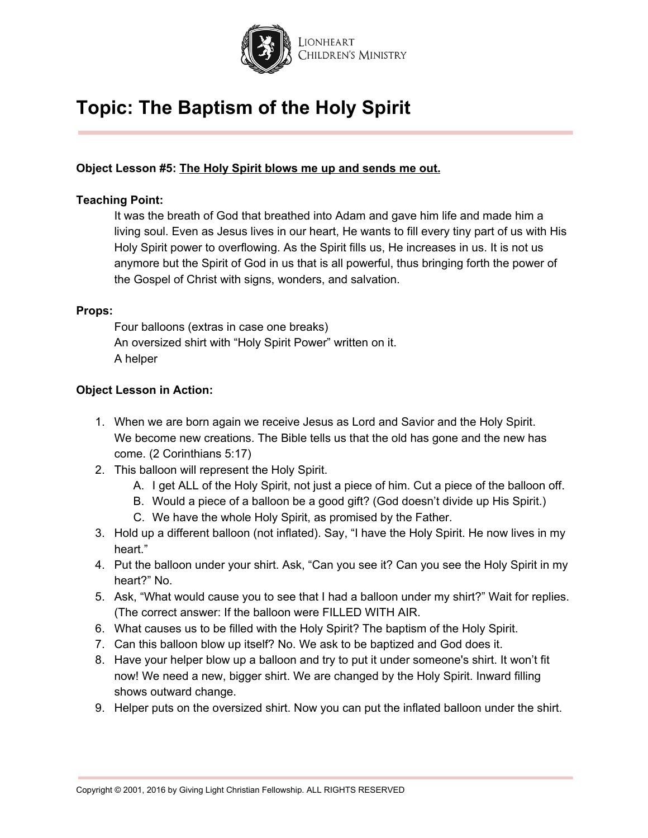

#### **Object Lesson #5: The Holy Spirit blows me up and sends me out.**

#### **Teaching Point:**

It was the breath of God that breathed into Adam and gave him life and made him a living soul. Even as Jesus lives in our heart, He wants to fill every tiny part of us with His Holy Spirit power to overflowing. As the Spirit fills us, He increases in us. It is not us anymore but the Spirit of God in us that is all powerful, thus bringing forth the power of the Gospel of Christ with signs, wonders, and salvation.

#### **Props:**

Four balloons (extras in case one breaks) An oversized shirt with "Holy Spirit Power" written on it. A helper

- 1. When we are born again we receive Jesus as Lord and Savior and the Holy Spirit. We become new creations. The Bible tells us that the old has gone and the new has come. (2 Corinthians 5:17)
- 2. This balloon will represent the Holy Spirit.
	- A. I get ALL of the Holy Spirit, not just a piece of him. Cut a piece of the balloon off.
	- B. Would a piece of a balloon be a good gift? (God doesn't divide up His Spirit.)
	- C. We have the whole Holy Spirit, as promised by the Father.
- 3. Hold up a different balloon (not inflated). Say, "I have the Holy Spirit. He now lives in my heart."
- 4. Put the balloon under your shirt. Ask, "Can you see it? Can you see the Holy Spirit in my heart?" No.
- 5. Ask, "What would cause you to see that I had a balloon under my shirt?" Wait for replies. (The correct answer: If the balloon were FILLED WITH AIR.
- 6. What causes us to be filled with the Holy Spirit? The baptism of the Holy Spirit.
- 7. Can this balloon blow up itself? No. We ask to be baptized and God does it.
- 8. Have your helper blow up a balloon and try to put it under someone's shirt. It won't fit now! We need a new, bigger shirt. We are changed by the Holy Spirit. Inward filling shows outward change.
- 9. Helper puts on the oversized shirt. Now you can put the inflated balloon under the shirt.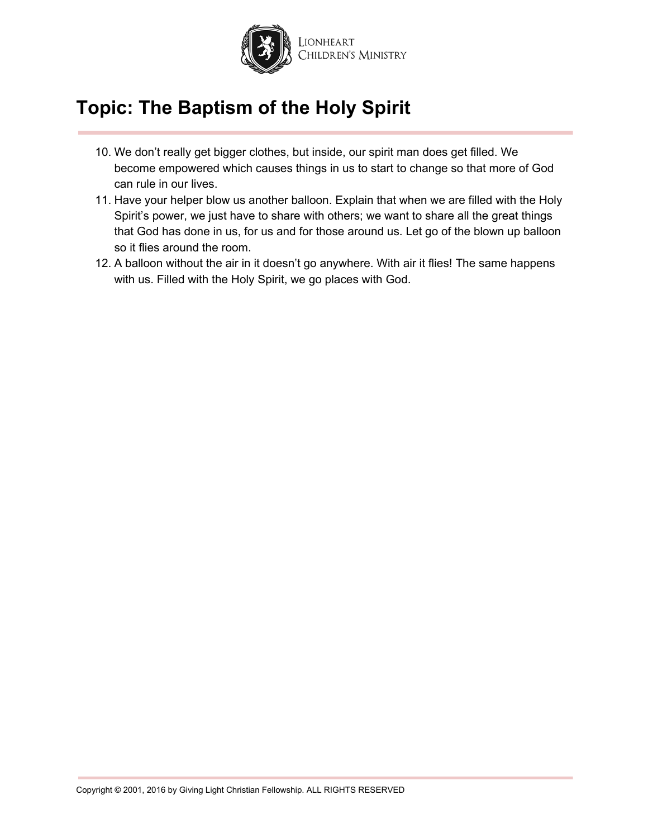

- 10. We don't really get bigger clothes, but inside, our spirit man does get filled. We become empowered which causes things in us to start to change so that more of God can rule in our lives.
- 11. Have your helper blow us another balloon. Explain that when we are filled with the Holy Spirit's power, we just have to share with others; we want to share all the great things that God has done in us, for us and for those around us. Let go of the blown up balloon so it flies around the room.
- 12. A balloon without the air in it doesn't go anywhere. With air it flies! The same happens with us. Filled with the Holy Spirit, we go places with God.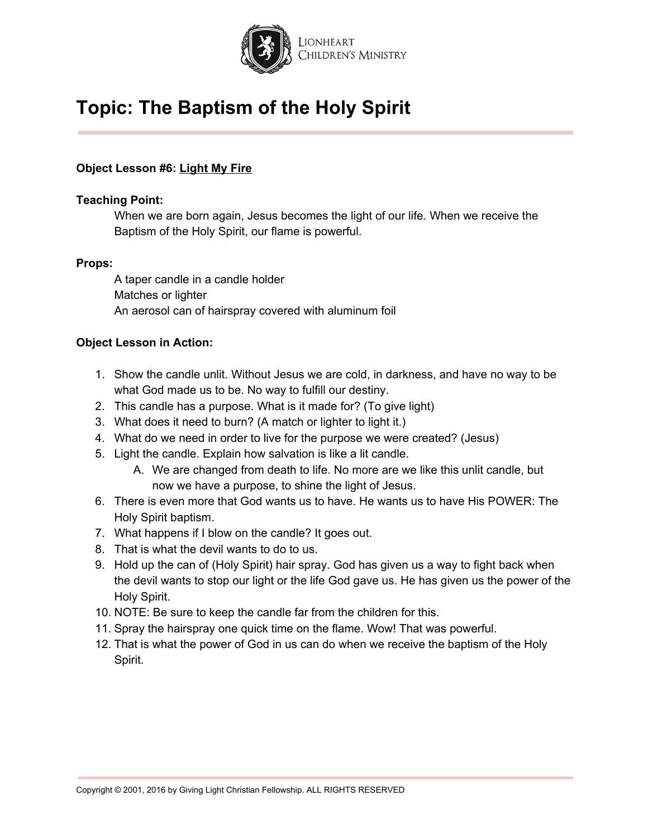

#### **Object Lesson #6: Light My Fire**

#### **Teaching Point:**

When we are born again, Jesus becomes the light of our life. When we receive the Baptism of the Holy Spirit, our flame is powerful.

#### **Props:**

A taper candle in a candle holder Matches or lighter An aerosol can of hairspray covered with aluminum foil

- 1. Show the candle unlit. Without Jesus we are cold, in darkness, and have no way to be what God made us to be. No way to fulfill our destiny.
- 2. This candle has a purpose. What is it made for? (To give light)
- 3. What does it need to burn? (A match or lighter to light it.)
- 4. What do we need in order to live for the purpose we were created? (Jesus)
- 5. Light the candle. Explain how salvation is like a lit candle.
	- A. We are changed from death to life. No more are we like this unlit candle, but now we have a purpose, to shine the light of Jesus.
- 6. There is even more that God wants us to have. He wants us to have His POWER: The Holy Spirit baptism.
- 7. What happens if I blow on the candle? It goes out.
- 8. That is what the devil wants to do to us.
- 9. Hold up the can of (Holy Spirit) hair spray. God has given us a way to fight back when the devil wants to stop our light or the life God gave us. He has given us the power of the Holy Spirit.
- 10. NOTE: Be sure to keep the candle far from the children for this.
- 11. Spray the hairspray one quick time on the flame. Wow! That was powerful.
- 12. That is what the power of God in us can do when we receive the baptism of the Holy Spirit.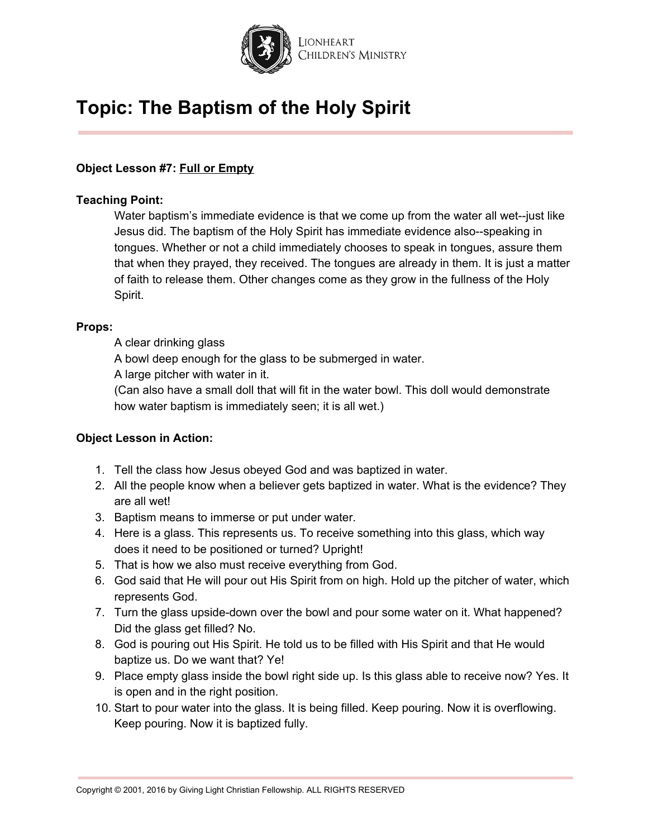

#### **Object Lesson #7: Full or Empty**

#### **Teaching Point:**

Water baptism's immediate evidence is that we come up from the water all wet--just like Jesus did. The baptism of the Holy Spirit has immediate evidence also--speaking in tongues. Whether or not a child immediately chooses to speak in tongues, assure them that when they prayed, they received. The tongues are already in them. It is just a matter of faith to release them. Other changes come as they grow in the fullness of the Holy Spirit.

#### **Props:**

A clear drinking glass

A bowl deep enough for the glass to be submerged in water.

A large pitcher with water in it.

(Can also have a small doll that will fit in the water bowl. This doll would demonstrate how water baptism is immediately seen; it is all wet.)

- 1. Tell the class how Jesus obeyed God and was baptized in water.
- 2. All the people know when a believer gets baptized in water. What is the evidence? They are all wet!
- 3. Baptism means to immerse or put under water.
- 4. Here is a glass. This represents us. To receive something into this glass, which way does it need to be positioned or turned? Upright!
- 5. That is how we also must receive everything from God.
- 6. God said that He will pour out His Spirit from on high. Hold up the pitcher of water, which represents God.
- 7. Turn the glass upside-down over the bowl and pour some water on it. What happened? Did the glass get filled? No.
- 8. God is pouring out His Spirit. He told us to be filled with His Spirit and that He would baptize us. Do we want that? Ye!
- 9. Place empty glass inside the bowl right side up. Is this glass able to receive now? Yes. It is open and in the right position.
- 10. Start to pour water into the glass. It is being filled. Keep pouring. Now it is overflowing. Keep pouring. Now it is baptized fully.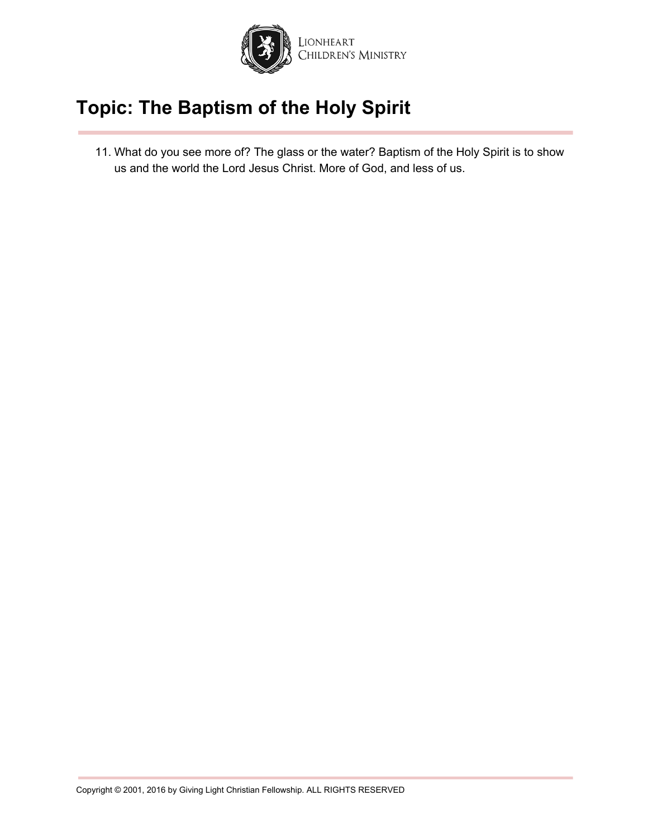

11. What do you see more of? The glass or the water? Baptism of the Holy Spirit is to show us and the world the Lord Jesus Christ. More of God, and less of us.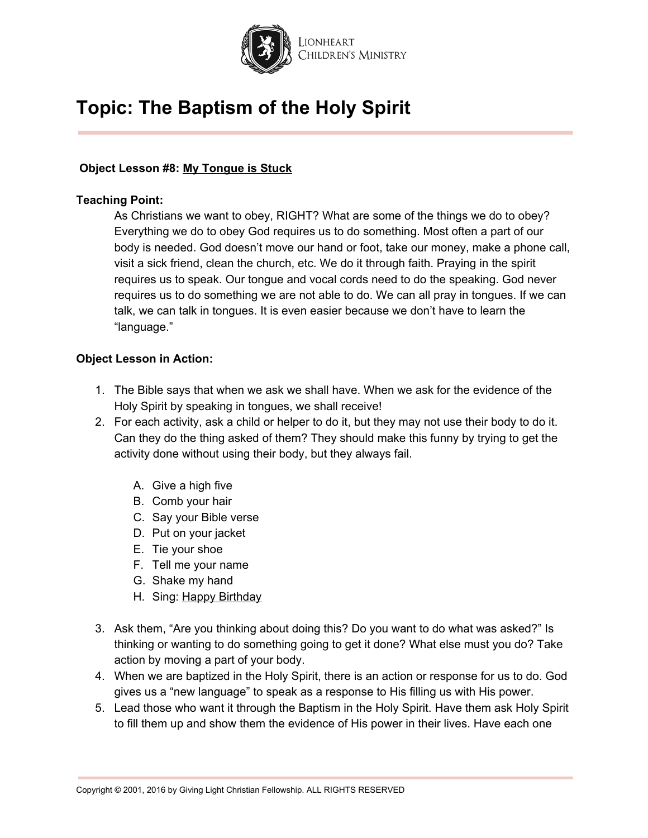

#### **Object Lesson #8: My Tongue is Stuck**

#### **Teaching Point:**

As Christians we want to obey, RIGHT? What are some of the things we do to obey? Everything we do to obey God requires us to do something. Most often a part of our body is needed. God doesn't move our hand or foot, take our money, make a phone call, visit a sick friend, clean the church, etc. We do it through faith. Praying in the spirit requires us to speak. Our tongue and vocal cords need to do the speaking. God never requires us to do something we are not able to do. We can all pray in tongues. If we can talk, we can talk in tongues. It is even easier because we don't have to learn the "language."

- 1. The Bible says that when we ask we shall have. When we ask for the evidence of the Holy Spirit by speaking in tongues, we shall receive!
- 2. For each activity, ask a child or helper to do it, but they may not use their body to do it. Can they do the thing asked of them? They should make this funny by trying to get the activity done without using their body, but they always fail.
	- A. Give a high five
	- B. Comb your hair
	- C. Say your Bible verse
	- D. Put on your jacket
	- E. Tie your shoe
	- F. Tell me your name
	- G. Shake my hand
	- H. Sing: Happy Birthday
- 3. Ask them, "Are you thinking about doing this? Do you want to do what was asked?" Is thinking or wanting to do something going to get it done? What else must you do? Take action by moving a part of your body.
- 4. When we are baptized in the Holy Spirit, there is an action or response for us to do. God gives us a "new language" to speak as a response to His filling us with His power.
- 5. Lead those who want it through the Baptism in the Holy Spirit. Have them ask Holy Spirit to fill them up and show them the evidence of His power in their lives. Have each one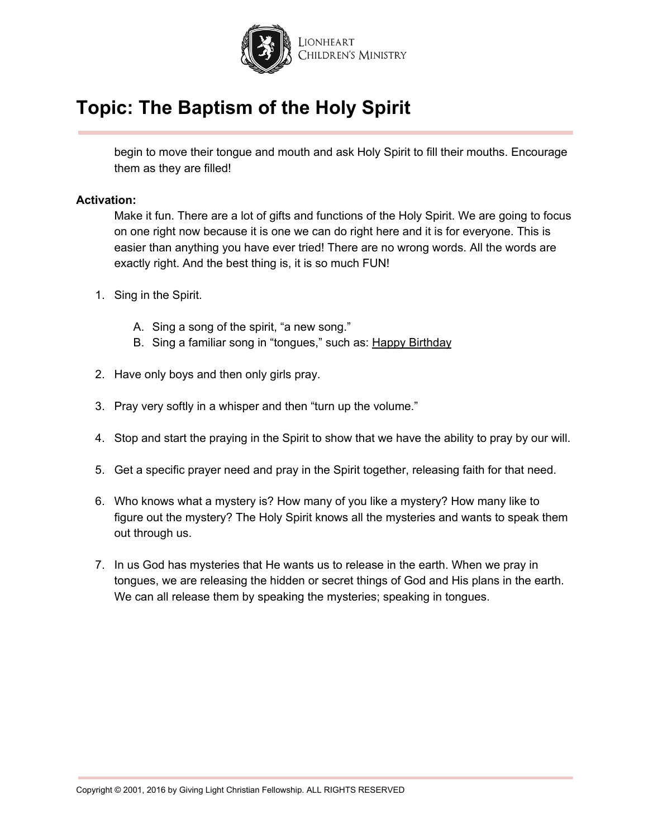

begin to move their tongue and mouth and ask Holy Spirit to fill their mouths. Encourage them as they are filled!

#### **Activation:**

Make it fun. There are a lot of gifts and functions of the Holy Spirit. We are going to focus on one right now because it is one we can do right here and it is for everyone. This is easier than anything you have ever tried! There are no wrong words. All the words are exactly right. And the best thing is, it is so much FUN!

- 1. Sing in the Spirit.
	- A. Sing a song of the spirit, "a new song."
	- B. Sing a familiar song in "tongues," such as: Happy Birthday
- 2. Have only boys and then only girls pray.
- 3. Pray very softly in a whisper and then "turn up the volume."
- 4. Stop and start the praying in the Spirit to show that we have the ability to pray by our will.
- 5. Get a specific prayer need and pray in the Spirit together, releasing faith for that need.
- 6. Who knows what a mystery is? How many of you like a mystery? How many like to figure out the mystery? The Holy Spirit knows all the mysteries and wants to speak them out through us.
- 7. In us God has mysteries that He wants us to release in the earth. When we pray in tongues, we are releasing the hidden or secret things of God and His plans in the earth. We can all release them by speaking the mysteries; speaking in tongues.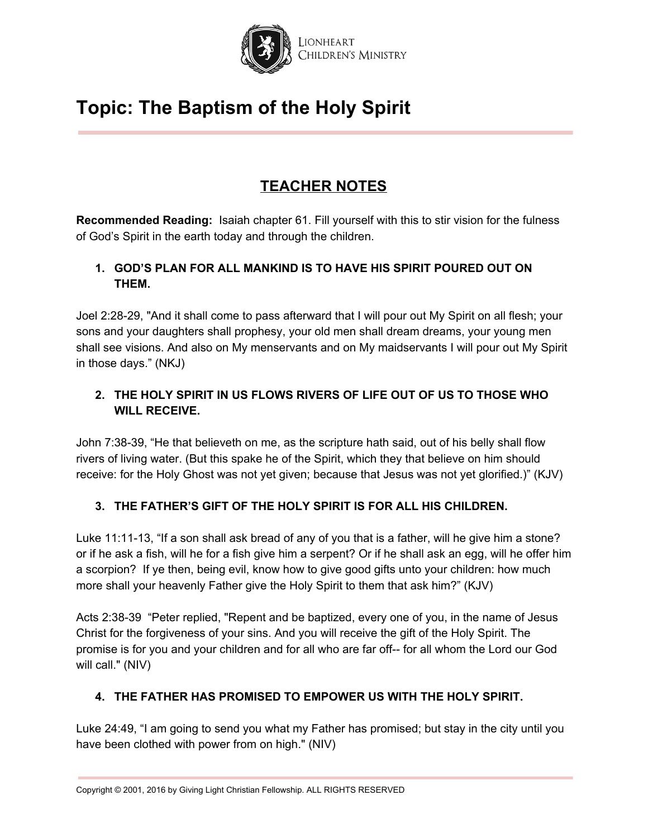

### **TEACHER NOTES**

**Recommended Reading:** Isaiah chapter 61. Fill yourself with this to stir vision for the fulness of God's Spirit in the earth today and through the children.

### **1. GOD'S PLAN FOR ALL MANKIND IS TO HAVE HIS SPIRIT POURED OUT ON THEM.**

Joel 2:28-29, "And it shall come to pass afterward that I will pour out My Spirit on all flesh; your sons and your daughters shall prophesy, your old men shall dream dreams, your young men shall see visions. And also on My menservants and on My maidservants I will pour out My Spirit in those days." (NKJ)

### **2. THE HOLY SPIRIT IN US FLOWS RIVERS OF LIFE OUT OF US TO THOSE WHO WILL RECEIVE.**

John 7:38-39, "He that believeth on me, as the scripture hath said, out of his belly shall flow rivers of living water. (But this spake he of the Spirit, which they that believe on him should receive: for the Holy Ghost was not yet given; because that Jesus was not yet glorified.)" (KJV)

### **3. THE FATHER'S GIFT OF THE HOLY SPIRIT IS FOR ALL HIS CHILDREN.**

Luke 11:11-13, "If a son shall ask bread of any of you that is a father, will he give him a stone? or if he ask a fish, will he for a fish give him a serpent? Or if he shall ask an egg, will he offer him a scorpion? If ye then, being evil, know how to give good gifts unto your children: how much more shall your heavenly Father give the Holy Spirit to them that ask him?" (KJV)

Acts 2:38-39 "Peter replied, "Repent and be baptized, every one of you, in the name of Jesus Christ for the forgiveness of your sins. And you will receive the gift of the Holy Spirit. The promise is for you and your children and for all who are far off-- for all whom the Lord our God will call." (NIV)

### **4. THE FATHER HAS PROMISED TO EMPOWER US WITH THE HOLY SPIRIT.**

Luke 24:49, "I am going to send you what my Father has promised; but stay in the city until you have been clothed with power from on high." (NIV)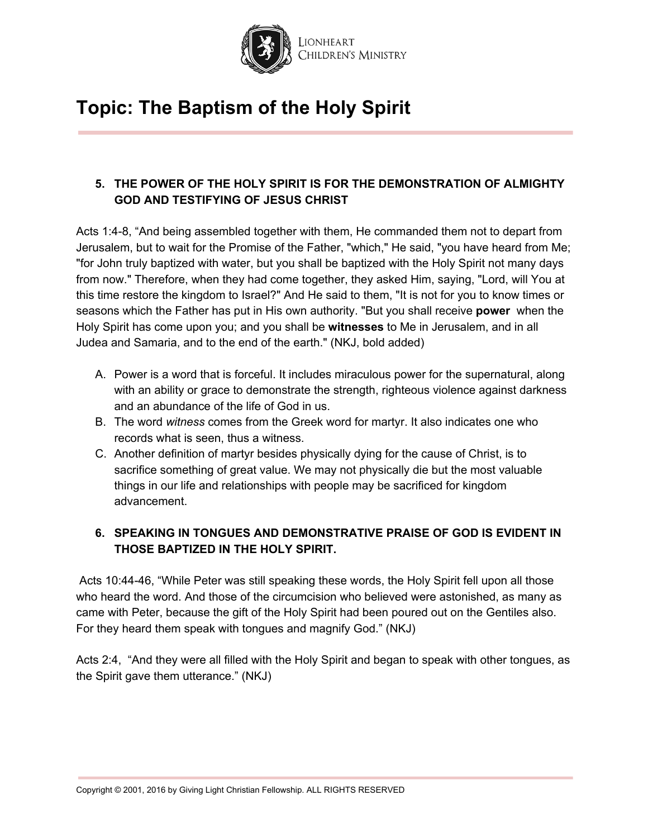

### **5. THE POWER OF THE HOLY SPIRIT IS FOR THE DEMONSTRATION OF ALMIGHTY GOD AND TESTIFYING OF JESUS CHRIST**

Acts 1:4-8, "And being assembled together with them, He commanded them not to depart from Jerusalem, but to wait for the Promise of the Father, "which," He said, "you have heard from Me; "for John truly baptized with water, but you shall be baptized with the Holy Spirit not many days from now." Therefore, when they had come together, they asked Him, saying, "Lord, will You at this time restore the kingdom to Israel?" And He said to them, "It is not for you to know times or seasons which the Father has put in His own authority. "But you shall receive **power** when the Holy Spirit has come upon you; and you shall be **witnesses** to Me in Jerusalem, and in all Judea and Samaria, and to the end of the earth." (NKJ, bold added)

- A. Power is a word that is forceful. It includes miraculous power for the supernatural, along with an ability or grace to demonstrate the strength, righteous violence against darkness and an abundance of the life of God in us.
- B. The word *witness* comes from the Greek word for martyr. It also indicates one who records what is seen, thus a witness.
- C. Another definition of martyr besides physically dying for the cause of Christ, is to sacrifice something of great value. We may not physically die but the most valuable things in our life and relationships with people may be sacrificed for kingdom advancement.

### **6. SPEAKING IN TONGUES AND DEMONSTRATIVE PRAISE OF GOD IS EVIDENT IN THOSE BAPTIZED IN THE HOLY SPIRIT.**

Acts 10:44-46, "While Peter was still speaking these words, the Holy Spirit fell upon all those who heard the word. And those of the circumcision who believed were astonished, as many as came with Peter, because the gift of the Holy Spirit had been poured out on the Gentiles also. For they heard them speak with tongues and magnify God." (NKJ)

Acts 2:4, "And they were all filled with the Holy Spirit and began to speak with other tongues, as the Spirit gave them utterance." (NKJ)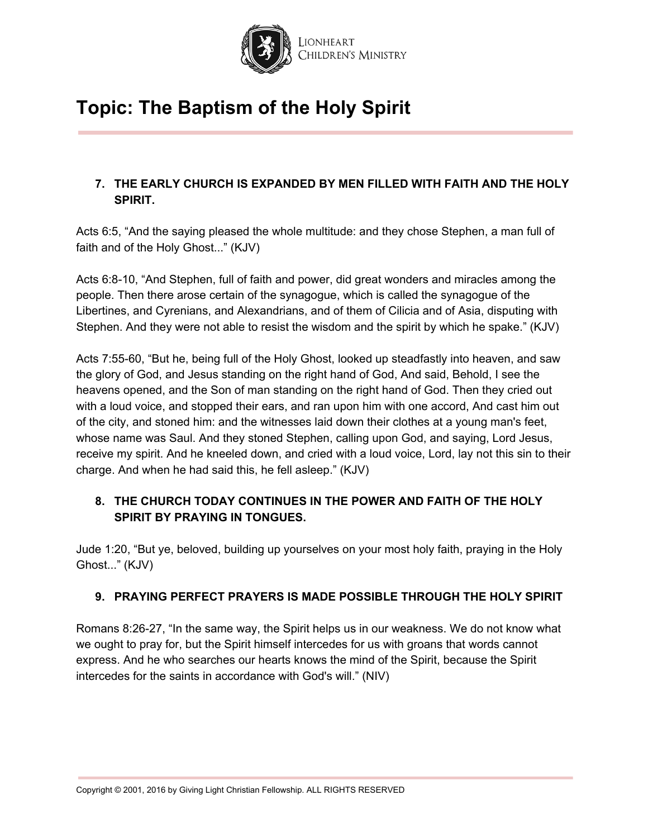

### **7. THE EARLY CHURCH IS EXPANDED BY MEN FILLED WITH FAITH AND THE HOLY SPIRIT.**

Acts 6:5, "And the saying pleased the whole multitude: and they chose Stephen, a man full of faith and of the Holy Ghost..." (KJV)

Acts 6:8-10, "And Stephen, full of faith and power, did great wonders and miracles among the people. Then there arose certain of the synagogue, which is called the synagogue of the Libertines, and Cyrenians, and Alexandrians, and of them of Cilicia and of Asia, disputing with Stephen. And they were not able to resist the wisdom and the spirit by which he spake." (KJV)

Acts 7:55-60, "But he, being full of the Holy Ghost, looked up steadfastly into heaven, and saw the glory of God, and Jesus standing on the right hand of God, And said, Behold, I see the heavens opened, and the Son of man standing on the right hand of God. Then they cried out with a loud voice, and stopped their ears, and ran upon him with one accord, And cast him out of the city, and stoned him: and the witnesses laid down their clothes at a young man's feet, whose name was Saul. And they stoned Stephen, calling upon God, and saying, Lord Jesus, receive my spirit. And he kneeled down, and cried with a loud voice, Lord, lay not this sin to their charge. And when he had said this, he fell asleep." (KJV)

### **8. THE CHURCH TODAY CONTINUES IN THE POWER AND FAITH OF THE HOLY SPIRIT BY PRAYING IN TONGUES.**

Jude 1:20, "But ye, beloved, building up yourselves on your most holy faith, praying in the Holy Ghost..." (KJV)

### **9. PRAYING PERFECT PRAYERS IS MADE POSSIBLE THROUGH THE HOLY SPIRIT**

Romans 8:26-27, "In the same way, the Spirit helps us in our weakness. We do not know what we ought to pray for, but the Spirit himself intercedes for us with groans that words cannot express. And he who searches our hearts knows the mind of the Spirit, because the Spirit intercedes for the saints in accordance with God's will." (NIV)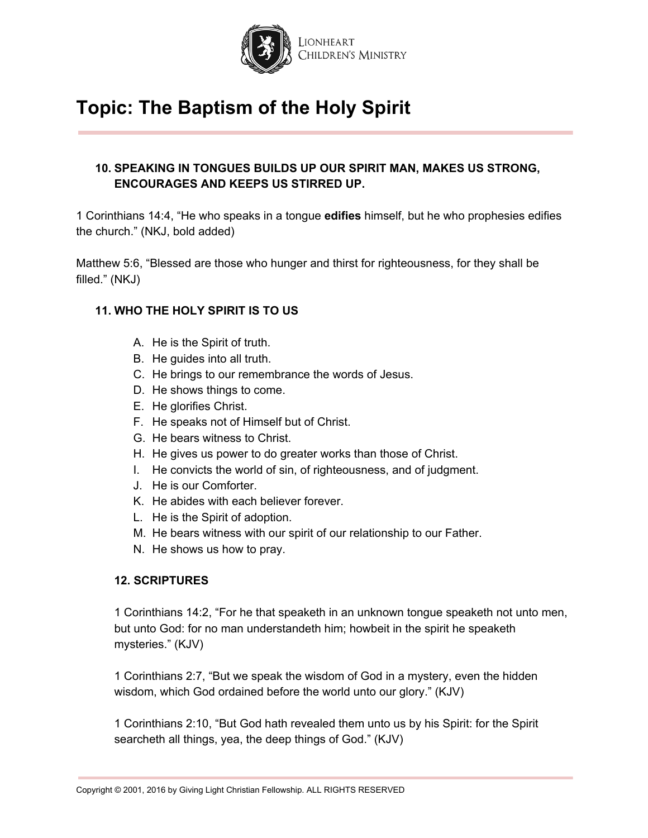

#### **10. SPEAKING IN TONGUES BUILDS UP OUR SPIRIT MAN, MAKES US STRONG, ENCOURAGES AND KEEPS US STIRRED UP.**

1 Corinthians 14:4, "He who speaks in a tongue **edifies** himself, but he who prophesies edifies the church." (NKJ, bold added)

Matthew 5:6, "Blessed are those who hunger and thirst for righteousness, for they shall be filled." (NKJ)

#### **11. WHO THE HOLY SPIRIT IS TO US**

- A. He is the Spirit of truth.
- B. He guides into all truth.
- C. He brings to our remembrance the words of Jesus.
- D. He shows things to come.
- E. He glorifies Christ.
- F. He speaks not of Himself but of Christ.
- G. He bears witness to Christ.
- H. He gives us power to do greater works than those of Christ.
- I. He convicts the world of sin, of righteousness, and of judgment.
- J. He is our Comforter.
- K. He abides with each believer forever.
- L. He is the Spirit of adoption.
- M. He bears witness with our spirit of our relationship to our Father.
- N. He shows us how to pray.

#### **12. SCRIPTURES**

1 Corinthians 14:2, "For he that speaketh in an unknown tongue speaketh not unto men, but unto God: for no man understandeth him; howbeit in the spirit he speaketh mysteries." (KJV)

1 Corinthians 2:7, "But we speak the wisdom of God in a mystery, even the hidden wisdom, which God ordained before the world unto our glory." (KJV)

1 Corinthians 2:10, "But God hath revealed them unto us by his Spirit: for the Spirit searcheth all things, yea, the deep things of God." (KJV)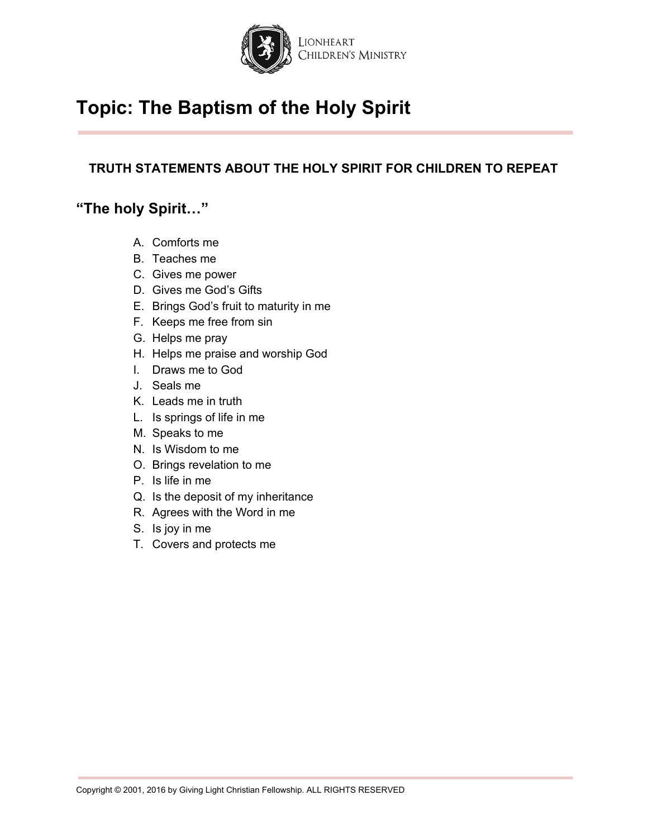

### **TRUTH STATEMENTS ABOUT THE HOLY SPIRIT FOR CHILDREN TO REPEAT**

### **"The holy Spirit…"**

- A. Comforts me
- B. Teaches me
- C. Gives me power
- D. Gives me God's Gifts
- E. Brings God's fruit to maturity in me
- F. Keeps me free from sin
- G. Helps me pray
- H. Helps me praise and worship God
- I. Draws me to God
- J. Seals me
- K. Leads me in truth
- L. Is springs of life in me
- M. Speaks to me
- N. Is Wisdom to me
- O. Brings revelation to me
- P. Is life in me
- Q. Is the deposit of my inheritance
- R. Agrees with the Word in me
- S. Is joy in me
- T. Covers and protects me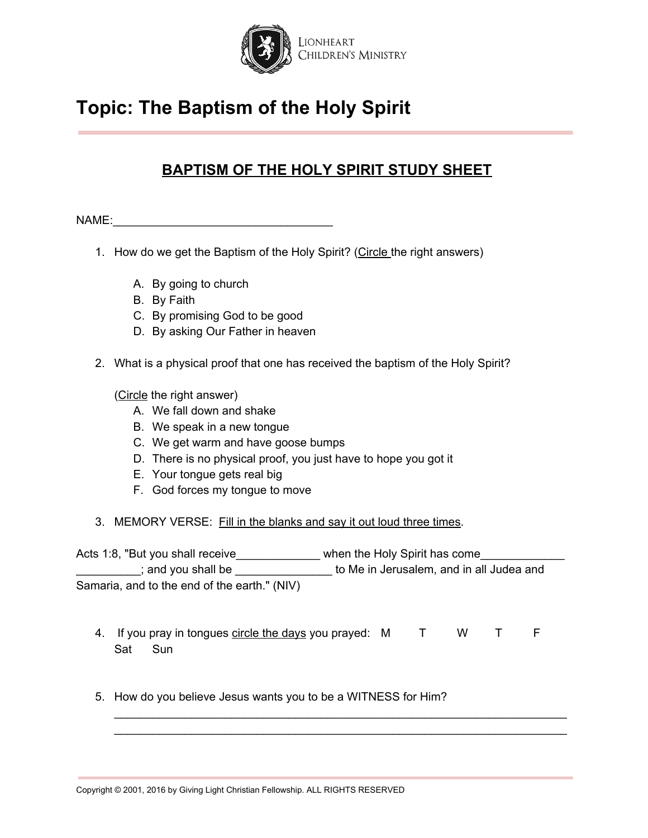

### **BAPTISM OF THE HOLY SPIRIT STUDY SHEET**

NAME:

- 1. How do we get the Baptism of the Holy Spirit? (Circle the right answers)
	- A. By going to church
	- B. By Faith
	- C. By promising God to be good
	- D. By asking Our Father in heaven
- 2. What is a physical proof that one has received the baptism of the Holy Spirit?

(Circle the right answer)

- A. We fall down and shake
- B. We speak in a new tongue
- C. We get warm and have goose bumps
- D. There is no physical proof, you just have to hope you got it
- E. Your tongue gets real big
- F. God forces my tongue to move
- 3. MEMORY VERSE: Fill in the blanks and say it out loud three times.

Acts 1:8, "But you shall receive\_\_\_\_\_\_\_\_\_\_\_\_\_\_ when the Holy Spirit has come\_\_\_\_\_ \_\_\_\_\_\_\_\_\_\_; and you shall be \_\_\_\_\_\_\_\_\_\_\_\_\_\_\_ to Me in Jerusalem, and in all Judea and Samaria, and to the end of the earth." (NIV)

4. If you pray in tongues circle the days you prayed: M T W T F Sat Sun

\_\_\_\_\_\_\_\_\_\_\_\_\_\_\_\_\_\_\_\_\_\_\_\_\_\_\_\_\_\_\_\_\_\_\_\_\_\_\_\_\_\_\_\_\_\_\_\_\_\_\_\_\_\_\_\_\_\_\_\_\_\_\_\_\_\_\_\_\_\_ \_\_\_\_\_\_\_\_\_\_\_\_\_\_\_\_\_\_\_\_\_\_\_\_\_\_\_\_\_\_\_\_\_\_\_\_\_\_\_\_\_\_\_\_\_\_\_\_\_\_\_\_\_\_\_\_\_\_\_\_\_\_\_\_\_\_\_\_\_\_

5. How do you believe Jesus wants you to be a WITNESS for Him?